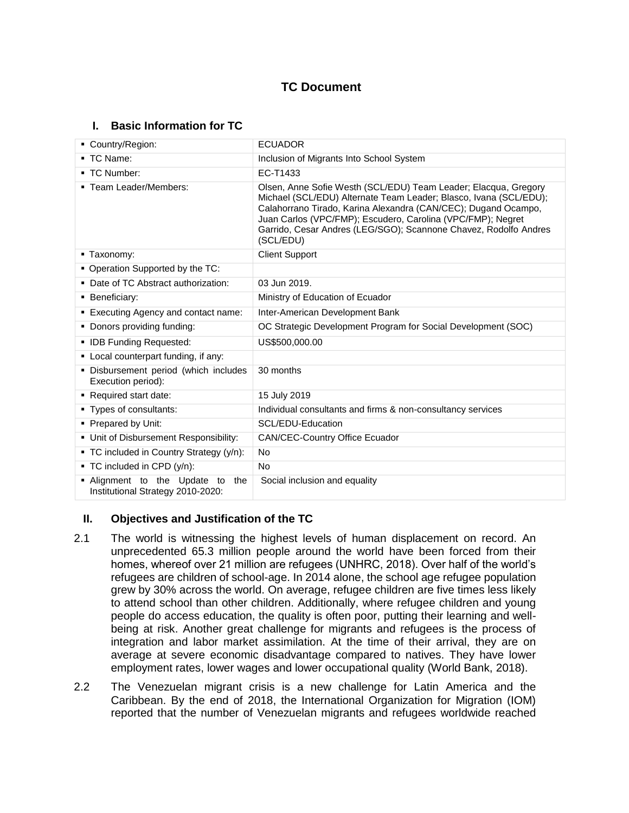# **TC Document**

# **I. Basic Information for TC**

| • Country/Region:                                                        | <b>ECUADOR</b>                                                                                                                                                                                                                                                                                                                                         |  |  |
|--------------------------------------------------------------------------|--------------------------------------------------------------------------------------------------------------------------------------------------------------------------------------------------------------------------------------------------------------------------------------------------------------------------------------------------------|--|--|
| ■ TC Name:                                                               | Inclusion of Migrants Into School System                                                                                                                                                                                                                                                                                                               |  |  |
| ■ TC Number:                                                             | EC-T1433                                                                                                                                                                                                                                                                                                                                               |  |  |
| • Team Leader/Members:                                                   | Olsen, Anne Sofie Westh (SCL/EDU) Team Leader; Elacqua, Gregory<br>Michael (SCL/EDU) Alternate Team Leader; Blasco, Ivana (SCL/EDU);<br>Calahorrano Tirado, Karina Alexandra (CAN/CEC); Dugand Ocampo,<br>Juan Carlos (VPC/FMP); Escudero, Carolina (VPC/FMP); Negret<br>Garrido, Cesar Andres (LEG/SGO); Scannone Chavez, Rodolfo Andres<br>(SCL/EDU) |  |  |
| • Taxonomy:                                                              | <b>Client Support</b>                                                                                                                                                                                                                                                                                                                                  |  |  |
| • Operation Supported by the TC:                                         |                                                                                                                                                                                                                                                                                                                                                        |  |  |
| • Date of TC Abstract authorization:                                     | 03 Jun 2019.                                                                                                                                                                                                                                                                                                                                           |  |  |
| • Beneficiary:                                                           | Ministry of Education of Ecuador                                                                                                                                                                                                                                                                                                                       |  |  |
| ■ Executing Agency and contact name:                                     | Inter-American Development Bank                                                                                                                                                                                                                                                                                                                        |  |  |
| • Donors providing funding:                                              | OC Strategic Development Program for Social Development (SOC)                                                                                                                                                                                                                                                                                          |  |  |
| • IDB Funding Requested:                                                 | US\$500,000.00                                                                                                                                                                                                                                                                                                                                         |  |  |
| • Local counterpart funding, if any:                                     |                                                                                                                                                                                                                                                                                                                                                        |  |  |
| · Disbursement period (which includes<br>Execution period):              | 30 months                                                                                                                                                                                                                                                                                                                                              |  |  |
| Required start date:                                                     | 15 July 2019                                                                                                                                                                                                                                                                                                                                           |  |  |
| • Types of consultants:                                                  | Individual consultants and firms & non-consultancy services                                                                                                                                                                                                                                                                                            |  |  |
| • Prepared by Unit:                                                      | SCL/EDU-Education                                                                                                                                                                                                                                                                                                                                      |  |  |
| • Unit of Disbursement Responsibility:                                   | <b>CAN/CEC-Country Office Ecuador</b>                                                                                                                                                                                                                                                                                                                  |  |  |
| • TC included in Country Strategy (y/n):                                 | No                                                                                                                                                                                                                                                                                                                                                     |  |  |
| $\blacksquare$ TC included in CPD (y/n):                                 | No.                                                                                                                                                                                                                                                                                                                                                    |  |  |
| . Alignment to the Update to<br>the<br>Institutional Strategy 2010-2020: | Social inclusion and equality                                                                                                                                                                                                                                                                                                                          |  |  |

# **II. Objectives and Justification of the TC**

- 2.1 The world is witnessing the highest levels of human displacement on record. An unprecedented 65.3 million people around the world have been forced from their homes, whereof over 21 million are refugees (UNHRC, 2018). Over half of the world's refugees are children of school-age. In 2014 alone, the school age refugee population grew by 30% across the world. On average, refugee children are five times less likely to attend school than other children. Additionally, where refugee children and young people do access education, the quality is often poor, putting their learning and wellbeing at risk. Another great challenge for migrants and refugees is the process of integration and labor market assimilation. At the time of their arrival, they are on average at severe economic disadvantage compared to natives. They have lower employment rates, lower wages and lower occupational quality (World Bank, 2018).
- 2.2 The Venezuelan migrant crisis is a new challenge for Latin America and the Caribbean. By the end of 2018, the International Organization for Migration (IOM) reported that the number of Venezuelan migrants and refugees worldwide reached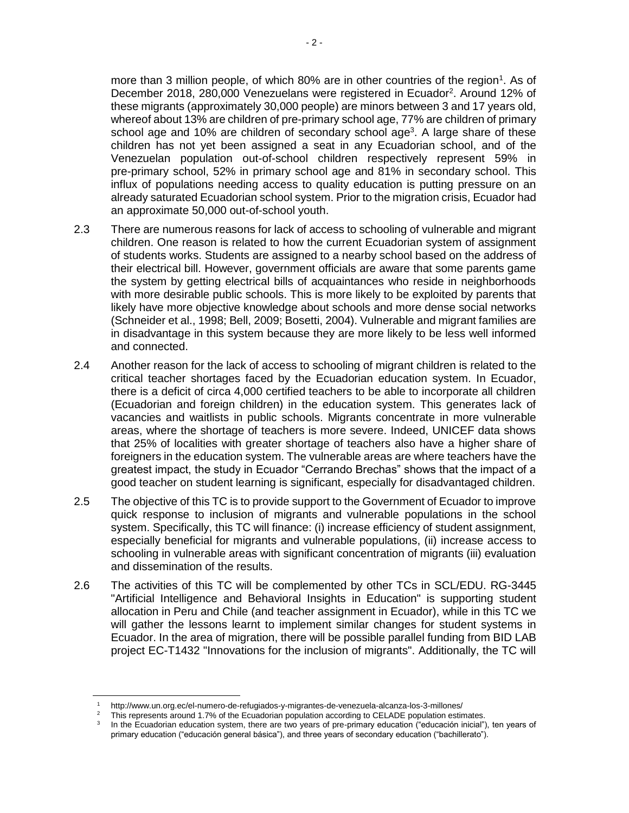more than 3 million people, of which 80% are in other countries of the region<sup>1</sup>. As of December 2018, 280,000 Venezuelans were registered in Ecuador<sup>2</sup>. Around 12% of these migrants (approximately 30,000 people) are minors between 3 and 17 years old, whereof about 13% are children of pre-primary school age, 77% are children of primary school age and 10% are children of secondary school age<sup>3</sup>. A large share of these children has not yet been assigned a seat in any Ecuadorian school, and of the Venezuelan population out-of-school children respectively represent 59% in pre-primary school, 52% in primary school age and 81% in secondary school. This influx of populations needing access to quality education is putting pressure on an already saturated Ecuadorian school system. Prior to the migration crisis, Ecuador had an approximate 50,000 out-of-school youth.

- 2.3 There are numerous reasons for lack of access to schooling of vulnerable and migrant children. One reason is related to how the current Ecuadorian system of assignment of students works. Students are assigned to a nearby school based on the address of their electrical bill. However, government officials are aware that some parents game the system by getting electrical bills of acquaintances who reside in neighborhoods with more desirable public schools. This is more likely to be exploited by parents that likely have more objective knowledge about schools and more dense social networks (Schneider et al., 1998; Bell, 2009; Bosetti, 2004). Vulnerable and migrant families are in disadvantage in this system because they are more likely to be less well informed and connected.
- 2.4 Another reason for the lack of access to schooling of migrant children is related to the critical teacher shortages faced by the Ecuadorian education system. In Ecuador, there is a deficit of circa 4,000 certified teachers to be able to incorporate all children (Ecuadorian and foreign children) in the education system. This generates lack of vacancies and waitlists in public schools. Migrants concentrate in more vulnerable areas, where the shortage of teachers is more severe. Indeed, UNICEF data shows that 25% of localities with greater shortage of teachers also have a higher share of foreigners in the education system. The vulnerable areas are where teachers have the greatest impact, the study in Ecuador "Cerrando Brechas" shows that the impact of a good teacher on student learning is significant, especially for disadvantaged children.
- 2.5 The objective of this TC is to provide support to the Government of Ecuador to improve quick response to inclusion of migrants and vulnerable populations in the school system. Specifically, this TC will finance: (i) increase efficiency of student assignment, especially beneficial for migrants and vulnerable populations, (ii) increase access to schooling in vulnerable areas with significant concentration of migrants (iii) evaluation and dissemination of the results.
- 2.6 The activities of this TC will be complemented by other TCs in SCL/EDU. RG-3445 "Artificial Intelligence and Behavioral Insights in Education" is supporting student allocation in Peru and Chile (and teacher assignment in Ecuador), while in this TC we will gather the lessons learnt to implement similar changes for student systems in Ecuador. In the area of migration, there will be possible parallel funding from BID LAB project EC-T1432 "Innovations for the inclusion of migrants". Additionally, the TC will

 $\overline{a}$ 

<sup>1</sup> http://www.un.org.ec/el-numero-de-refugiados-y-migrantes-de-venezuela-alcanza-los-3-millones/

<sup>2</sup> This represents around 1.7% of the Ecuadorian population according to CELADE population estimates.

<sup>3</sup> In the Ecuadorian education system, there are two years of pre-primary education ("educación inicial"), ten years of primary education ("educación general básica"), and three years of secondary education ("bachillerato").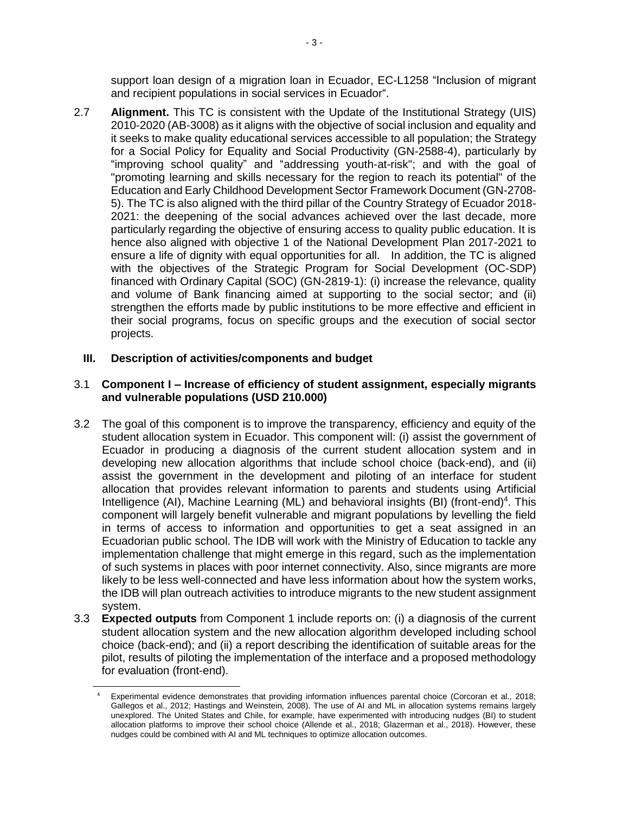support loan design of a migration loan in Ecuador, EC-L1258 "Inclusion of migrant and recipient populations in social services in Ecuador".

2.7 **Alignment.** This TC is consistent with the Update of the Institutional Strategy (UIS) 2010-2020 (AB-3008) as it aligns with the objective of social inclusion and equality and it seeks to make quality educational services accessible to all population; the Strategy for a Social Policy for Equality and Social Productivity (GN-2588-4), particularly by "improving school quality" and "addressing youth-at-risk"; and with the goal of "promoting learning and skills necessary for the region to reach its potential" of the Education and Early Childhood Development Sector Framework Document (GN-2708- 5). The TC is also aligned with the third pillar of the Country Strategy of Ecuador 2018- 2021: the deepening of the social advances achieved over the last decade, more particularly regarding the objective of ensuring access to quality public education. It is hence also aligned with objective 1 of the National Development Plan 2017-2021 to ensure a life of dignity with equal opportunities for all. In addition, the TC is aligned with the objectives of the Strategic Program for Social Development (OC-SDP) financed with Ordinary Capital (SOC) (GN-2819-1): (i) increase the relevance, quality and volume of Bank financing aimed at supporting to the social sector; and (ii) strengthen the efforts made by public institutions to be more effective and efficient in their social programs, focus on specific groups and the execution of social sector projects.

# **III. Description of activities/components and budget**

 $\overline{\phantom{a}}$ 

## 3.1 **Component I – Increase of efficiency of student assignment, especially migrants and vulnerable populations (USD 210.000)**

- 3.2 The goal of this component is to improve the transparency, efficiency and equity of the student allocation system in Ecuador. This component will: (i) assist the government of Ecuador in producing a diagnosis of the current student allocation system and in developing new allocation algorithms that include school choice (back-end), and (ii) assist the government in the development and piloting of an interface for student allocation that provides relevant information to parents and students using Artificial Intelligence (AI), Machine Learning (ML) and behavioral insights (BI) (front-end)<sup>4</sup>. This component will largely benefit vulnerable and migrant populations by levelling the field in terms of access to information and opportunities to get a seat assigned in an Ecuadorian public school. The IDB will work with the Ministry of Education to tackle any implementation challenge that might emerge in this regard, such as the implementation of such systems in places with poor internet connectivity. Also, since migrants are more likely to be less well-connected and have less information about how the system works, the IDB will plan outreach activities to introduce migrants to the new student assignment system.
- 3.3 **Expected outputs** from Component 1 include reports on: (i) a diagnosis of the current student allocation system and the new allocation algorithm developed including school choice (back-end); and (ii) a report describing the identification of suitable areas for the pilot, results of piloting the implementation of the interface and a proposed methodology for evaluation (front-end).

Experimental evidence demonstrates that providing information influences parental choice (Corcoran et al., 2018; Gallegos et al., 2012; Hastings and Weinstein, 2008). The use of AI and ML in allocation systems remains largely unexplored. The United States and Chile, for example, have experimented with introducing nudges (BI) to student allocation platforms to improve their school choice (Allende et al., 2018; Glazerman et al., 2018). However, these nudges could be combined with AI and ML techniques to optimize allocation outcomes.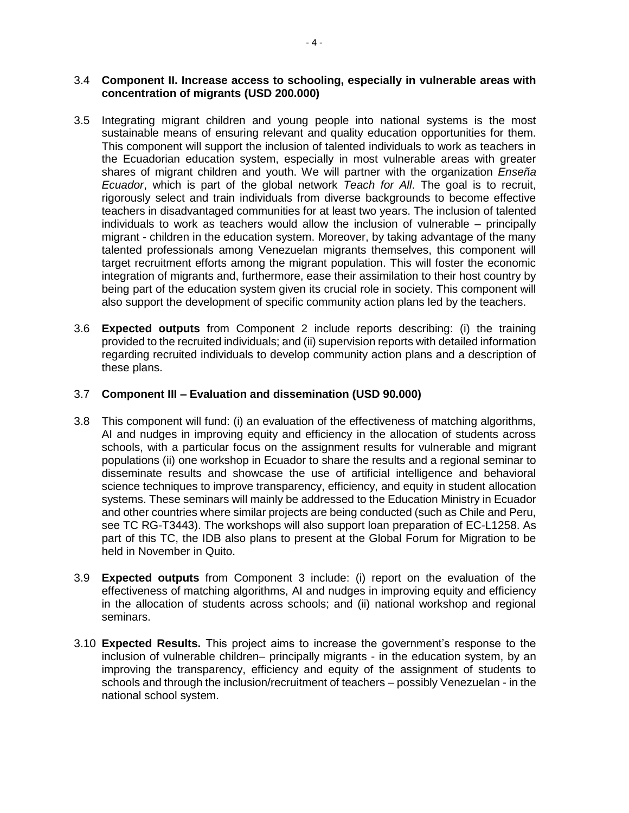### 3.4 **Component II. Increase access to schooling, especially in vulnerable areas with concentration of migrants (USD 200.000)**

- 3.5 Integrating migrant children and young people into national systems is the most sustainable means of ensuring relevant and quality education opportunities for them. This component will support the inclusion of talented individuals to work as teachers in the Ecuadorian education system, especially in most vulnerable areas with greater shares of migrant children and youth. We will partner with the organization *Enseña Ecuador*, which is part of the global network *Teach for All*. The goal is to recruit, rigorously select and train individuals from diverse backgrounds to become effective teachers in disadvantaged communities for at least two years. The inclusion of talented individuals to work as teachers would allow the inclusion of vulnerable – principally migrant - children in the education system. Moreover, by taking advantage of the many talented professionals among Venezuelan migrants themselves, this component will target recruitment efforts among the migrant population. This will foster the economic integration of migrants and, furthermore, ease their assimilation to their host country by being part of the education system given its crucial role in society. This component will also support the development of specific community action plans led by the teachers.
- 3.6 **Expected outputs** from Component 2 include reports describing: (i) the training provided to the recruited individuals; and (ii) supervision reports with detailed information regarding recruited individuals to develop community action plans and a description of these plans.

### 3.7 **Component III – Evaluation and dissemination (USD 90.000)**

- 3.8 This component will fund: (i) an evaluation of the effectiveness of matching algorithms, AI and nudges in improving equity and efficiency in the allocation of students across schools, with a particular focus on the assignment results for vulnerable and migrant populations (ii) one workshop in Ecuador to share the results and a regional seminar to disseminate results and showcase the use of artificial intelligence and behavioral science techniques to improve transparency, efficiency, and equity in student allocation systems. These seminars will mainly be addressed to the Education Ministry in Ecuador and other countries where similar projects are being conducted (such as Chile and Peru, see TC RG-T3443). The workshops will also support loan preparation of EC-L1258. As part of this TC, the IDB also plans to present at the Global Forum for Migration to be held in November in Quito.
- 3.9 **Expected outputs** from Component 3 include: (i) report on the evaluation of the effectiveness of matching algorithms, AI and nudges in improving equity and efficiency in the allocation of students across schools; and (ii) national workshop and regional seminars.
- 3.10 **Expected Results.** This project aims to increase the government's response to the inclusion of vulnerable children– principally migrants - in the education system, by an improving the transparency, efficiency and equity of the assignment of students to schools and through the inclusion/recruitment of teachers – possibly Venezuelan - in the national school system.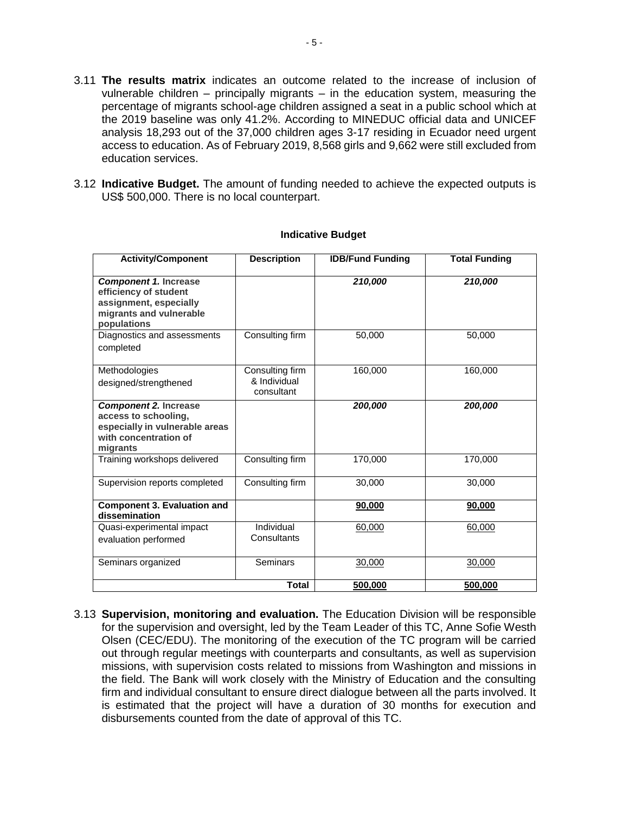- 3.11 **The results matrix** indicates an outcome related to the increase of inclusion of vulnerable children – principally migrants – in the education system, measuring the percentage of migrants school-age children assigned a seat in a public school which at the 2019 baseline was only 41.2%. According to MINEDUC official data and UNICEF analysis 18,293 out of the 37,000 children ages 3-17 residing in Ecuador need urgent access to education. As of February 2019, 8,568 girls and 9,662 were still excluded from education services.
- 3.12 **Indicative Budget.** The amount of funding needed to achieve the expected outputs is US\$ 500,000. There is no local counterpart.

| <b>Activity/Component</b>                                                                                                   | <b>Description</b>                            | <b>IDB/Fund Funding</b> | <b>Total Funding</b> |
|-----------------------------------------------------------------------------------------------------------------------------|-----------------------------------------------|-------------------------|----------------------|
| <b>Component 1. Increase</b><br>efficiency of student<br>assignment, especially<br>migrants and vulnerable<br>populations   |                                               | 210,000                 | 210,000              |
| Diagnostics and assessments<br>completed                                                                                    | Consulting firm                               | 50,000                  | 50,000               |
| Methodologies<br>designed/strengthened                                                                                      | Consulting firm<br>& Individual<br>consultant | 160,000                 | 160,000              |
| <b>Component 2. Increase</b><br>access to schooling,<br>especially in vulnerable areas<br>with concentration of<br>migrants |                                               | 200,000                 | 200,000              |
| Training workshops delivered                                                                                                | Consulting firm                               | 170,000                 | 170,000              |
| Supervision reports completed                                                                                               | Consulting firm                               | 30,000                  | 30,000               |
| <b>Component 3. Evaluation and</b><br>dissemination                                                                         |                                               | 90,000                  | 90,000               |
| Quasi-experimental impact<br>evaluation performed                                                                           | Individual<br>Consultants                     | 60,000                  | 60,000               |
| Seminars organized                                                                                                          | <b>Seminars</b>                               | 30,000                  | 30,000               |
|                                                                                                                             | Total                                         | 500,000                 | 500,000              |

#### **Indicative Budget**

3.13 **Supervision, monitoring and evaluation.** The Education Division will be responsible for the supervision and oversight, led by the Team Leader of this TC, Anne Sofie Westh Olsen (CEC/EDU). The monitoring of the execution of the TC program will be carried out through regular meetings with counterparts and consultants, as well as supervision missions, with supervision costs related to missions from Washington and missions in the field. The Bank will work closely with the Ministry of Education and the consulting firm and individual consultant to ensure direct dialogue between all the parts involved. It is estimated that the project will have a duration of 30 months for execution and disbursements counted from the date of approval of this TC.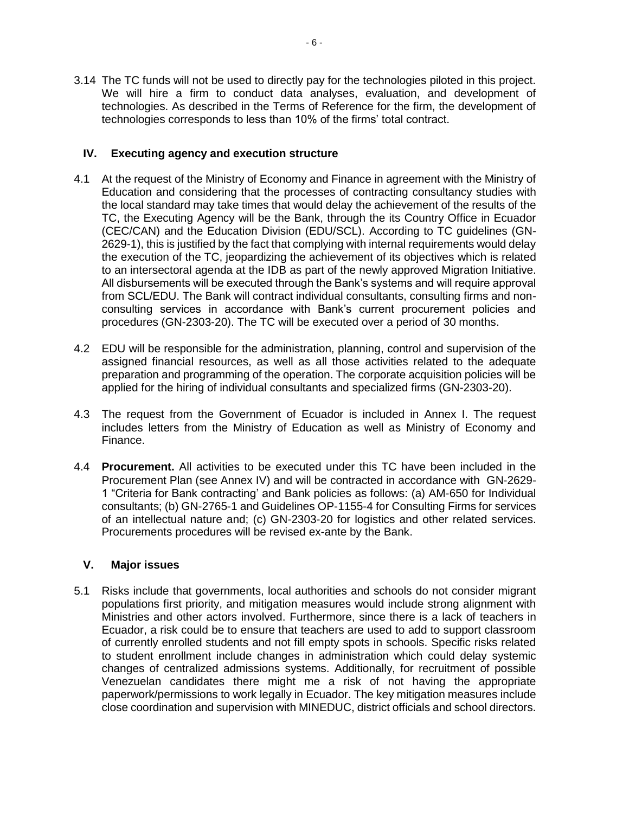3.14 The TC funds will not be used to directly pay for the technologies piloted in this project. We will hire a firm to conduct data analyses, evaluation, and development of technologies. As described in the Terms of Reference for the firm, the development of technologies corresponds to less than 10% of the firms' total contract.

## **IV. Executing agency and execution structure**

- 4.1 At the request of the Ministry of Economy and Finance in agreement with the Ministry of Education and considering that the processes of contracting consultancy studies with the local standard may take times that would delay the achievement of the results of the TC, the Executing Agency will be the Bank, through the its Country Office in Ecuador (CEC/CAN) and the Education Division (EDU/SCL). According to TC guidelines (GN-2629-1), this is justified by the fact that complying with internal requirements would delay the execution of the TC, jeopardizing the achievement of its objectives which is related to an intersectoral agenda at the IDB as part of the newly approved Migration Initiative. All disbursements will be executed through the Bank's systems and will require approval from SCL/EDU. The Bank will contract individual consultants, consulting firms and nonconsulting services in accordance with Bank's current procurement policies and procedures (GN-2303-20). The TC will be executed over a period of 30 months.
- 4.2 EDU will be responsible for the administration, planning, control and supervision of the assigned financial resources, as well as all those activities related to the adequate preparation and programming of the operation. The corporate acquisition policies will be applied for the hiring of individual consultants and specialized firms (GN-2303-20).
- 4.3 The request from the Government of Ecuador is included in Annex I. The request includes letters from the Ministry of Education as well as Ministry of Economy and Finance.
- 4.4 **Procurement.** All activities to be executed under this TC have been included in the Procurement Plan (see Annex IV) and will be contracted in accordance with GN-2629- 1 "Criteria for Bank contracting' and Bank policies as follows: (a) AM-650 for Individual consultants; (b) GN-2765-1 and Guidelines OP-1155-4 for Consulting Firms for services of an intellectual nature and; (c) GN-2303-20 for logistics and other related services. Procurements procedures will be revised ex-ante by the Bank.

#### **V. Major issues**

5.1 Risks include that governments, local authorities and schools do not consider migrant populations first priority, and mitigation measures would include strong alignment with Ministries and other actors involved. Furthermore, since there is a lack of teachers in Ecuador, a risk could be to ensure that teachers are used to add to support classroom of currently enrolled students and not fill empty spots in schools. Specific risks related to student enrollment include changes in administration which could delay systemic changes of centralized admissions systems. Additionally, for recruitment of possible Venezuelan candidates there might me a risk of not having the appropriate paperwork/permissions to work legally in Ecuador. The key mitigation measures include close coordination and supervision with MINEDUC, district officials and school directors.